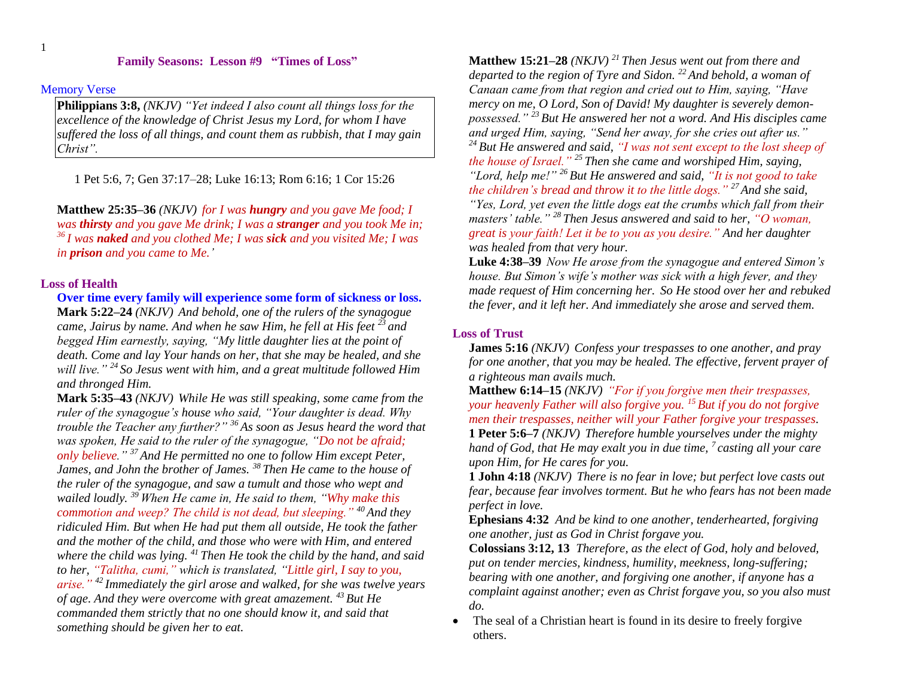# **Family Seasons: Lesson #9 "Times of Loss"**

#### Memory Verse

**Philippians 3:8,** *(NKJV) "Yet indeed I also count all things loss for the excellence of the knowledge of Christ Jesus my Lord, for whom I have suffered the loss of all things, and count them as rubbish, that I may gain Christ".* 

1 Pet 5:6, 7; Gen 37:17–28; Luke 16:13; Rom 6:16; 1 Cor 15:26

**Matthew 25:35–36** *(NKJV) for I was hungry and you gave Me food; I was thirsty and you gave Me drink; I was a stranger and you took Me in; <sup>36</sup> I was naked and you clothed Me; I was sick and you visited Me; I was in prison and you came to Me.'* 

# **Loss of Health**

**Over time every family will experience some form of sickness or loss. Mark 5:22–24** *(NKJV) And behold, one of the rulers of the synagogue came, Jairus by name. And when he saw Him, he fell at His feet <sup>23</sup> and begged Him earnestly, saying, "My little daughter lies at the point of death. Come and lay Your hands on her, that she may be healed, and she will live." <sup>24</sup> So Jesus went with him, and a great multitude followed Him and thronged Him.* 

**Mark 5:35–43** *(NKJV) While He was still speaking, some came from the ruler of the synagogue's house who said, "Your daughter is dead. Why trouble the Teacher any further?" <sup>36</sup> As soon as Jesus heard the word that was spoken, He said to the ruler of the synagogue, "Do not be afraid; only believe." <sup>37</sup> And He permitted no one to follow Him except Peter, James, and John the brother of James. <sup>38</sup> Then He came to the house of the ruler of the synagogue, and saw a tumult and those who wept and wailed loudly. <sup>39</sup> When He came in, He said to them, "Why make this commotion and weep? The child is not dead, but sleeping." <sup>40</sup> And they ridiculed Him. But when He had put them all outside, He took the father and the mother of the child, and those who were with Him, and entered where the child was lying. <sup>41</sup> Then He took the child by the hand, and said to her, "Talitha, cumi," which is translated, "Little girl, I say to you, arise." <sup>42</sup> Immediately the girl arose and walked, for she was twelve years of age. And they were overcome with great amazement. <sup>43</sup> But He commanded them strictly that no one should know it, and said that something should be given her to eat.* 

**Matthew 15:21–28** *(NKJV) <sup>21</sup> Then Jesus went out from there and departed to the region of Tyre and Sidon. <sup>22</sup> And behold, a woman of Canaan came from that region and cried out to Him, saying, "Have mercy on me, O Lord, Son of David! My daughter is severely demonpossessed." <sup>23</sup> But He answered her not a word. And His disciples came and urged Him, saying, "Send her away, for she cries out after us." <sup>24</sup> But He answered and said, "I was not sent except to the lost sheep of the house of Israel." <sup>25</sup> Then she came and worshiped Him, saying, "Lord, help me!" <sup>26</sup> But He answered and said, "It is not good to take the children's bread and throw it to the little dogs." <sup>27</sup>And she said,* 

*"Yes, Lord, yet even the little dogs eat the crumbs which fall from their masters' table." <sup>28</sup> Then Jesus answered and said to her, "O woman, great is your faith! Let it be to you as you desire." And her daughter was healed from that very hour.* 

**Luke 4:38–39** *Now He arose from the synagogue and entered Simon's house. But Simon's wife's mother was sick with a high fever, and they made request of Him concerning her. So He stood over her and rebuked the fever, and it left her. And immediately she arose and served them.* 

## **Loss of Trust**

**James 5:16** *(NKJV) Confess your trespasses to one another, and pray for one another, that you may be healed. The effective, fervent prayer of a righteous man avails much.* 

**Matthew 6:14–15** *(NKJV) "For if you forgive men their trespasses, your heavenly Father will also forgive you. <sup>15</sup> But if you do not forgive men their trespasses, neither will your Father forgive your trespasses.*  **1 Peter 5:6–7** *(NKJV) Therefore humble yourselves under the mighty hand of God, that He may exalt you in due time, <sup>7</sup> casting all your care upon Him, for He cares for you.* 

**1 John 4:18** *(NKJV) There is no fear in love; but perfect love casts out fear, because fear involves torment. But he who fears has not been made perfect in love.* 

**Ephesians 4:32** *And be kind to one another, tenderhearted, forgiving one another, just as God in Christ forgave you.*

**Colossians 3:12, 13** *Therefore, as the elect of God, holy and beloved, put on tender mercies, kindness, humility, meekness, long-suffering; bearing with one another, and forgiving one another, if anyone has a complaint against another; even as Christ forgave you, so you also must do.*

 The seal of a Christian heart is found in its desire to freely forgive others.